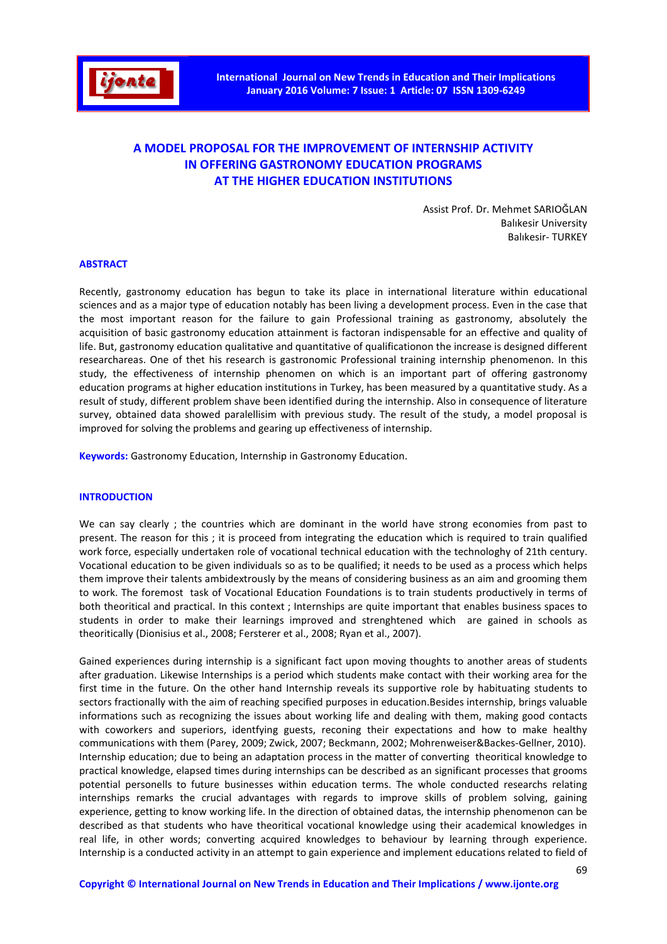

# A MODEL PROPOSAL FOR THE IMPROVEMENT OF INTERNSHIP ACTIVITY IN OFFERING GASTRONOMY EDUCATION PROGRAMS AT THE HIGHER EDUCATION INSTITUTIONS

Assist Prof. Dr. Mehmet SARIOĞLAN Balıkesir University Balıkesir- TURKEY

#### ABSTRACT

Recently, gastronomy education has begun to take its place in international literature within educational sciences and as a major type of education notably has been living a development process. Even in the case that the most important reason for the failure to gain Professional training as gastronomy, absolutely the acquisition of basic gastronomy education attainment is factoran indispensable for an effective and quality of life. But, gastronomy education qualitative and quantitative of qualificationon the increase is designed different researchareas. One of thet his research is gastronomic Professional training internship phenomenon. In this study, the effectiveness of internship phenomen on which is an important part of offering gastronomy education programs at higher education institutions in Turkey, has been measured by a quantitative study. As a result of study, different problem shave been identified during the internship. Also in consequence of literature survey, obtained data showed paralellisim with previous study. The result of the study, a model proposal is improved for solving the problems and gearing up effectiveness of internship.

**Keywords:** Gastronomy Education, Internship in Gastronomy Education.

### **INTRODUCTION**

We can say clearly ; the countries which are dominant in the world have strong economies from past to present. The reason for this ; it is proceed from integrating the education which is required to train qualified work force, especially undertaken role of vocational technical education with the technologhy of 21th century. Vocational education to be given individuals so as to be qualified; it needs to be used as a process which helps them improve their talents ambidextrously by the means of considering business as an aim and grooming them to work. The foremost task of Vocational Education Foundations is to train students productively in terms of both theoritical and practical. In this context ; Internships are quite important that enables business spaces to students in order to make their learnings improved and strenghtened which are gained in schools as theoritically (Dionisius et al., 2008; Fersterer et al., 2008; Ryan et al., 2007).

Gained experiences during internship is a significant fact upon moving thoughts to another areas of students after graduation. Likewise Internships is a period which students make contact with their working area for the first time in the future. On the other hand Internship reveals its supportive role by habituating students to sectors fractionally with the aim of reaching specified purposes in education.Besides internship, brings valuable informations such as recognizing the issues about working life and dealing with them, making good contacts with coworkers and superiors, identfying guests, reconing their expectations and how to make healthy communications with them (Parey, 2009; Zwick, 2007; Beckmann, 2002; Mohrenweiser&Backes-Gellner, 2010). Internship education; due to being an adaptation process in the matter of converting theoritical knowledge to practical knowledge, elapsed times during internships can be described as an significant processes that grooms potential personells to future businesses within education terms. The whole conducted researchs relating internships remarks the crucial advantages with regards to improve skills of problem solving, gaining experience, getting to know working life. In the direction of obtained datas, the internship phenomenon can be described as that students who have theoritical vocational knowledge using their academical knowledges in real life, in other words; converting acquired knowledges to behaviour by learning through experience. Internship is a conducted activity in an attempt to gain experience and implement educations related to field of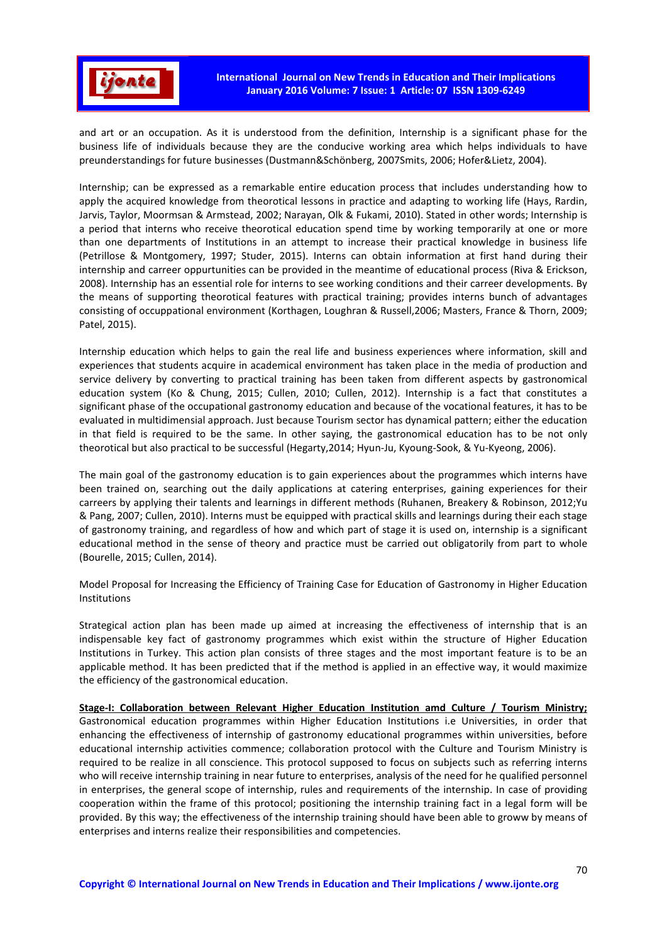

and art or an occupation. As it is understood from the definition, Internship is a significant phase for the business life of individuals because they are the conducive working area which helps individuals to have preunderstandings for future businesses (Dustmann&Schönberg, 2007Smits, 2006; Hofer&Lietz, 2004).

Internship; can be expressed as a remarkable entire education process that includes understanding how to apply the acquired knowledge from theorotical lessons in practice and adapting to working life (Hays, Rardin, Jarvis, Taylor, Moormsan & Armstead, 2002; Narayan, Olk & Fukami, 2010). Stated in other words; Internship is a period that interns who receive theorotical education spend time by working temporarily at one or more than one departments of Institutions in an attempt to increase their practical knowledge in business life (Petrillose & Montgomery, 1997; Studer, 2015). Interns can obtain information at first hand during their internship and carreer oppurtunities can be provided in the meantime of educational process (Riva & Erickson, 2008). Internship has an essential role for interns to see working conditions and their carreer developments. By the means of supporting theorotical features with practical training; provides interns bunch of advantages consisting of occuppational environment (Korthagen, Loughran & Russell,2006; Masters, France & Thorn, 2009; Patel, 2015).

Internship education which helps to gain the real life and business experiences where information, skill and experiences that students acquire in academical environment has taken place in the media of production and service delivery by converting to practical training has been taken from different aspects by gastronomical education system (Ko & Chung, 2015; Cullen, 2010; Cullen, 2012). Internship is a fact that constitutes a significant phase of the occupational gastronomy education and because of the vocational features, it has to be evaluated in multidimensial approach. Just because Tourism sector has dynamical pattern; either the education in that field is required to be the same. In other saying, the gastronomical education has to be not only theorotical but also practical to be successful (Hegarty,2014; Hyun-Ju, Kyoung-Sook, & Yu-Kyeong, 2006).

The main goal of the gastronomy education is to gain experiences about the programmes which interns have been trained on, searching out the daily applications at catering enterprises, gaining experiences for their carreers by applying their talents and learnings in different methods (Ruhanen, Breakery & Robinson, 2012;Yu & Pang, 2007; Cullen, 2010). Interns must be equipped with practical skills and learnings during their each stage of gastronomy training, and regardless of how and which part of stage it is used on, internship is a significant educational method in the sense of theory and practice must be carried out obligatorily from part to whole (Bourelle, 2015; Cullen, 2014).

Model Proposal for Increasing the Efficiency of Training Case for Education of Gastronomy in Higher Education Institutions

Strategical action plan has been made up aimed at increasing the effectiveness of internship that is an indispensable key fact of gastronomy programmes which exist within the structure of Higher Education Institutions in Turkey. This action plan consists of three stages and the most important feature is to be an applicable method. It has been predicted that if the method is applied in an effective way, it would maximize the efficiency of the gastronomical education.

Stage-I: Collaboration between Relevant Higher Education Institution amd Culture / Tourism Ministry; Gastronomical education programmes within Higher Education Institutions i.e Universities, in order that enhancing the effectiveness of internship of gastronomy educational programmes within universities, before educational internship activities commence; collaboration protocol with the Culture and Tourism Ministry is required to be realize in all conscience. This protocol supposed to focus on subjects such as referring interns who will receive internship training in near future to enterprises, analysis of the need for he qualified personnel in enterprises, the general scope of internship, rules and requirements of the internship. In case of providing cooperation within the frame of this protocol; positioning the internship training fact in a legal form will be provided. By this way; the effectiveness of the internship training should have been able to groww by means of enterprises and interns realize their responsibilities and competencies.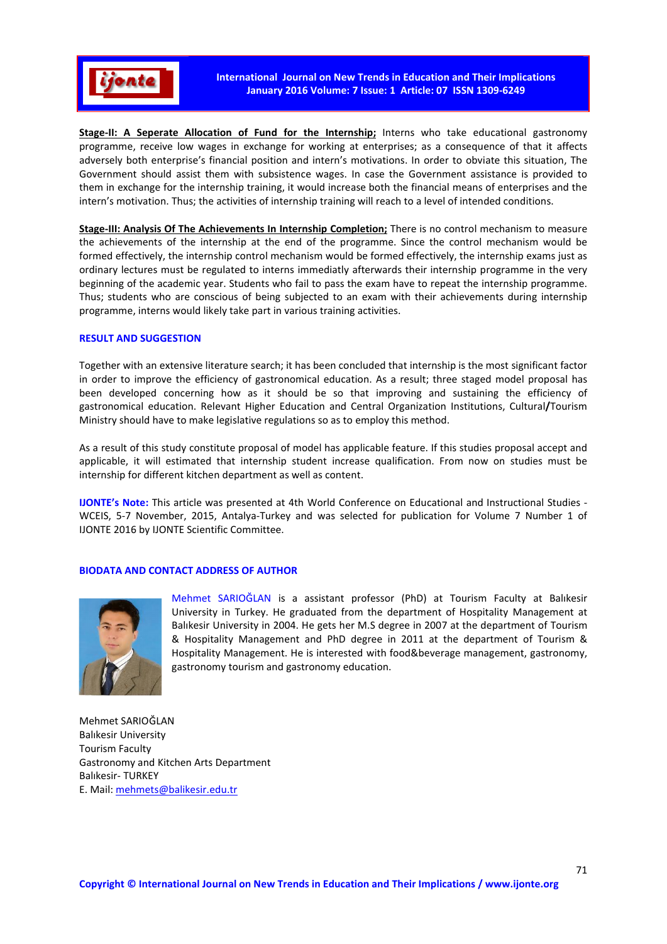

Stage-II: A Seperate Allocation of Fund for the Internship; Interns who take educational gastronomy programme, receive low wages in exchange for working at enterprises; as a consequence of that it affects adversely both enterprise's financial position and intern's motivations. In order to obviate this situation, The Government should assist them with subsistence wages. In case the Government assistance is provided to them in exchange for the internship training, it would increase both the financial means of enterprises and the intern's motivation. Thus; the activities of internship training will reach to a level of intended conditions.

Stage-III: Analysis Of The Achievements In Internship Completion; There is no control mechanism to measure the achievements of the internship at the end of the programme. Since the control mechanism would be formed effectively, the internship control mechanism would be formed effectively, the internship exams just as ordinary lectures must be regulated to interns immediatly afterwards their internship programme in the very beginning of the academic year. Students who fail to pass the exam have to repeat the internship programme. Thus; students who are conscious of being subjected to an exam with their achievements during internship programme, interns would likely take part in various training activities.

### RESULT AND SUGGESTION

Together with an extensive literature search; it has been concluded that internship is the most significant factor in order to improve the efficiency of gastronomical education. As a result; three staged model proposal has been developed concerning how as it should be so that improving and sustaining the efficiency of gastronomical education. Relevant Higher Education and Central Organization Institutions, Cultural/Tourism Ministry should have to make legislative regulations so as to employ this method.

As a result of this study constitute proposal of model has applicable feature. If this studies proposal accept and applicable, it will estimated that internship student increase qualification. From now on studies must be internship for different kitchen department as well as content.

IJONTE's Note: This article was presented at 4th World Conference on Educational and Instructional Studies - WCEIS, 5-7 November, 2015, Antalya-Turkey and was selected for publication for Volume 7 Number 1 of IJONTE 2016 by IJONTE Scientific Committee.

## BIODATA AND CONTACT ADDRESS OF AUTHOR



Mehmet SARIOĞLAN is a assistant professor (PhD) at Tourism Faculty at Balıkesir University in Turkey. He graduated from the department of Hospitality Management at Balıkesir University in 2004. He gets her M.S degree in 2007 at the department of Tourism & Hospitality Management and PhD degree in 2011 at the department of Tourism & Hospitality Management. He is interested with food&beverage management, gastronomy, gastronomy tourism and gastronomy education.

Mehmet SARIOĞLAN Balıkesir University Tourism Faculty Gastronomy and Kitchen Arts Department Balıkesir- TURKEY E. Mail: mehmets@balikesir.edu.tr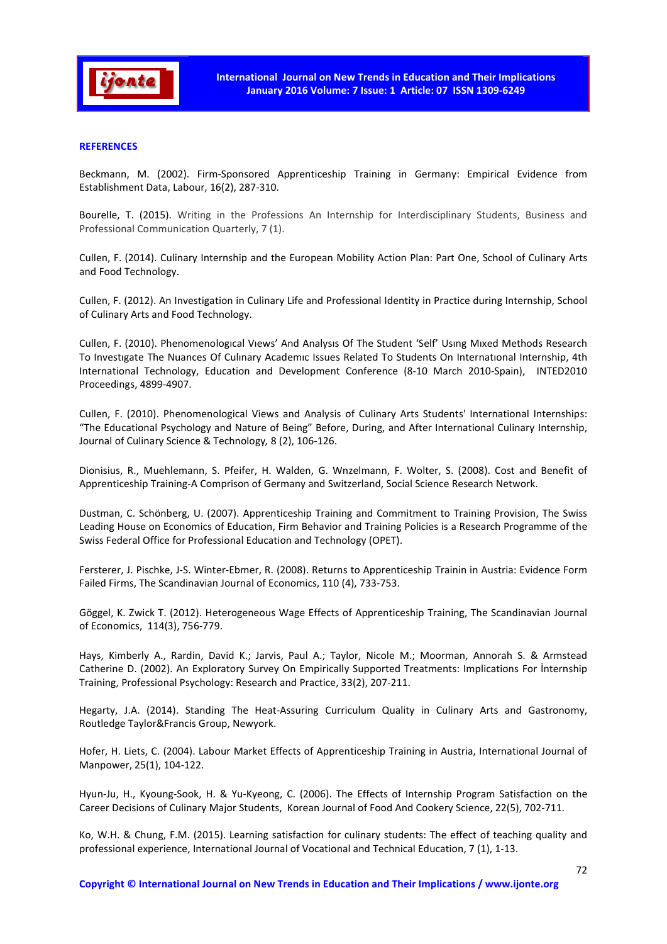

### **REFERENCES**

Beckmann, M. (2002). Firm-Sponsored Apprenticeship Training in Germany: Empirical Evidence from Establishment Data, Labour, 16(2), 287-310.

Bourelle, T. (2015). Writing in the Professions An Internship for Interdisciplinary Students, Business and Professional Communication Quarterly, 7 (1).

Cullen, F. (2014). Culinary Internship and the European Mobility Action Plan: Part One, School of Culinary Arts and Food Technology.

Cullen, F. (2012). An Investigation in Culinary Life and Professional Identity in Practice during Internship, School of Culinary Arts and Food Technology.

Cullen, F. (2010). Phenomenologıcal Vıews' And Analysıs Of The Student 'Self' Usıng Mıxed Methods Research To Investıgate The Nuances Of Culınary Academıc Issues Related To Students On Internatıonal Internship, 4th International Technology, Education and Development Conference (8-10 March 2010-Spain), INTED2010 Proceedings, 4899-4907.

Cullen, F. (2010). Phenomenological Views and Analysis of Culinary Arts Students' International Internships: "The Educational Psychology and Nature of Being" Before, During, and After International Culinary Internship, Journal of Culinary Science & Technology*,* 8 (2), 106-126.

Dionisius, R., Muehlemann, S. Pfeifer, H. Walden, G. Wnzelmann, F. Wolter, S. (2008). Cost and Benefit of Apprenticeship Training-A Comprison of Germany and Switzerland, Social Science Research Network.

Dustman, C. Schönberg, U. (2007). Apprenticeship Training and Commitment to Training Provision, The Swiss Leading House on Economics of Education, Firm Behavior and Training Policies is a Research Programme of the Swiss Federal Office for Professional Education and Technology (OPET).

Fersterer, J. Pischke, J-S. Winter-Ebmer, R. (2008). Returns to Apprenticeship Trainin in Austria: Evidence Form Failed Firms, The Scandinavian Journal of Economics, 110 (4), 733-753.

Göggel, K. Zwick T. (2012). Heterogeneous Wage Effects of Apprenticeship Training, The Scandinavian Journal of Economics, 114(3), 756-779.

Hays, Kimberly A., Rardin, David K.; Jarvis, Paul A.; Taylor, Nicole M.; Moorman, Annorah S. & Armstead Catherine D. (2002). An Exploratory Survey On Empirically Supported Treatments: Implications For İnternship Training, Professional Psychology: Research and Practice, 33(2), 207-211.

Hegarty, J.A. (2014). Standing The Heat-Assuring Curriculum Quality in Culinary Arts and Gastronomy, Routledge Taylor&Francis Group, Newyork.

Hofer, H. Liets, C. (2004). Labour Market Effects of Apprenticeship Training in Austria, International Journal of Manpower, 25(1), 104-122.

Hyun-Ju, H., Kyoung-Sook, H. & Yu-Kyeong, C. (2006). The Effects of Internship Program Satisfaction on the Career Decisions of Culinary Major Students, Korean Journal of Food And Cookery Science, 22(5), 702-711.

Ko, W.H. & Chung, F.M. (2015). Learning satisfaction for culinary students: The effect of teaching quality and professional experience, International Journal of Vocational and Technical Education, 7 (1), 1-13.